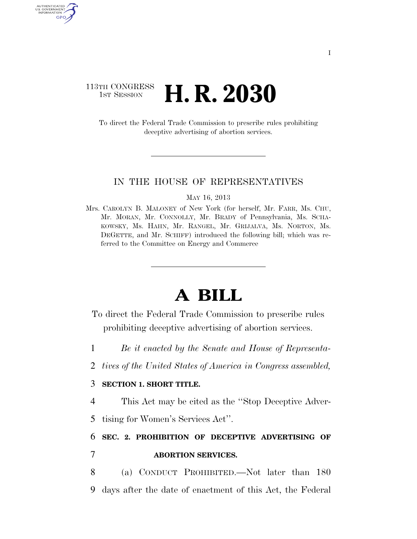### 113TH CONGRESS **1st Session H. R. 2030**

AUTHENTICATED U.S. GOVERNMENT GPO

> To direct the Federal Trade Commission to prescribe rules prohibiting deceptive advertising of abortion services.

#### IN THE HOUSE OF REPRESENTATIVES

MAY 16, 2013

Mrs. CAROLYN B. MALONEY of New York (for herself, Mr. FARR, Ms. CHU, Mr. MORAN, Mr. CONNOLLY, Mr. BRADY of Pennsylvania, Ms. SCHA-KOWSKY, Ms. HAHN, Mr. RANGEL, Mr. GRIJALVA, Ms. NORTON, Ms. DEGETTE, and Mr. SCHIFF) introduced the following bill; which was referred to the Committee on Energy and Commerce

# **A BILL**

- To direct the Federal Trade Commission to prescribe rules prohibiting deceptive advertising of abortion services.
- 1 *Be it enacted by the Senate and House of Representa-*
- 2 *tives of the United States of America in Congress assembled,*

#### 3 **SECTION 1. SHORT TITLE.**

4 This Act may be cited as the ''Stop Deceptive Adver-

5 tising for Women's Services Act''.

## 6 **SEC. 2. PROHIBITION OF DECEPTIVE ADVERTISING OF**  7 **ABORTION SERVICES.**

8 (a) CONDUCT PROHIBITED.—Not later than 180 9 days after the date of enactment of this Act, the Federal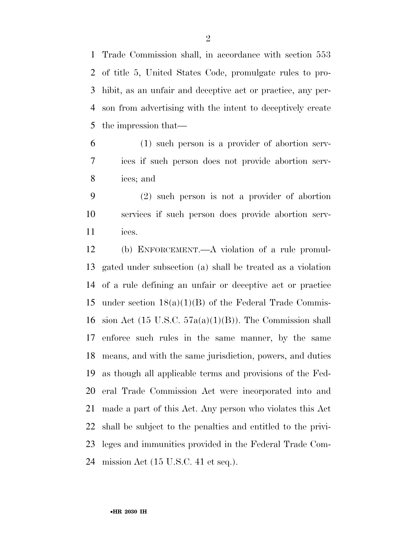Trade Commission shall, in accordance with section 553 of title 5, United States Code, promulgate rules to pro- hibit, as an unfair and deceptive act or practice, any per- son from advertising with the intent to deceptively create the impression that—

 (1) such person is a provider of abortion serv- ices if such person does not provide abortion serv-ices; and

 (2) such person is not a provider of abortion services if such person does provide abortion serv-ices.

 (b) ENFORCEMENT.—A violation of a rule promul- gated under subsection (a) shall be treated as a violation of a rule defining an unfair or deceptive act or practice 15 under section  $18(a)(1)(B)$  of the Federal Trade Commis-16 sion Act (15 U.S.C.  $57a(a)(1)(B)$ ). The Commission shall enforce such rules in the same manner, by the same means, and with the same jurisdiction, powers, and duties as though all applicable terms and provisions of the Fed- eral Trade Commission Act were incorporated into and made a part of this Act. Any person who violates this Act shall be subject to the penalties and entitled to the privi- leges and immunities provided in the Federal Trade Com-mission Act (15 U.S.C. 41 et seq.).